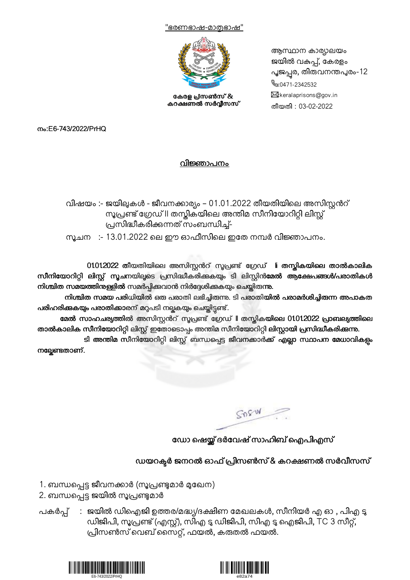



കേരള പ്രസൺസ് & കറക്ഷണൽ സർവ്വീസസ്

ആസ്ഥാന കാര്യലയം ജയിൽ വകുപ്പ്, കേരളം പൂജപ്പര, തിരുവനന്തപുരം-12  $\mathbb{S}:0471-2342532$  $\boxtimes$ :keralaprisons@gov.in തീയതി : 03-02-2022

നം:E6-743/2022/PrHQ

## വിജ്ഞാപനം

വിഷയം :- ജയിലുകൾ - ജീവനക്കാര്യം – 01.01.2022 തീയതിയിലെ അസിസ്റ്റൻറ് സൂപ്രണ്ട് ഗ്രേഡ് II തസ്കികയിലെ അന്തിമ സീനിയോറിറ്റി ലിസ്റ്റ് പ്രസിദ്ധീകരിക്കന്നത് സംബന്ധിച്ച്-

<u>സൂ</u>ചന :- 13.01.2022 ലെ ഈ ഓഫീസിലെ ഇതേ നമ്പർ വിജ്ഞാപനം.

01012022 തീയതിയിലെ അസിസ്റ്റൻറ് സൂപ്രണ്ട് ഗ്രേഡ് li തസ്തികയിലെ താൽകാലിക സീനിയോറിറ്റി ലിസ്റ്റ് സൂചനയിലൂടെ പ്രസിദ്ധീകരിക്കുകയും ടി ലിസ്റ്റിൻമേൽ ആക്ഷേപങ്ങൾ/പരാതികൾ നിശ്ചിത സമയത്തിനുള്ളിൽ സമർപ്പിക്കവാൻ നിർദ്ദേശിക്കുകയും ചെയ്തിരുന്നു.

നിശ്ചിത സമയ പരിധിയിൽ ഒരു പരാതി ലഭിച്ചിരുന്നു. ടി പരാതിയിൽ പരാമർശിച്ചിരുന്ന അപാകത പരിഹരിക്കുകയും പരാതിക്കാരന് മറ്റപടി നല്ലകയും ചെയ്തിട്ടണ്ട്.

മേൽ സാഹചര്യത്തിൽ അസിസ്റ്റൻറ് സൂപ്രണ്ട് ഗ്രേഡ് ll തസ്കികയിലെ 01012022 പ്രാബല്യത്തിലെ താൽകാലിക സീനിയോറിറ്റി ലിസ്റ്റ് ഇതോടൊപ്പം അന്തിമ സീനിയോറിറ്റി ലിസ്റ്റായി പ്രസിദ്ധീകരിക്കന്നു.

ടി അന്തിമ സീനിയോറിറ്റി ലിസ്റ്റ് ബന്ധപ്പെട്ട ജീവനക്കാർക്ക് എല്ലാ സ്ഥാപന മേധാവികളം നല്ലേണ്ടതാണ്.

SOSW

ഡോ ഷെയ്യ് ദർവേഷ് സാഹിബ് ഐപിഎസ്

ഡയറക്ടർ ജനറൽ ഓഫ് പ്രിസൺസ് & കറക്ഷണൽ സർവീസസ്

- 1. ബന്ധപ്പെട്ട ജീവനക്കാർ (സൂപ്രണ്ടുമാർ മുഖേന)
- 2. ബന്ധപ്പെട്ട ജയിൽ സൂപ്രണ്ടുമാർ
- പകർപ്പ് : ജയിൽ ഡിഐജി ഉത്തര/മദ്ധ്യ/ദക്ഷിണ മേഖലകൾ, സീനിയർ എ ഓ , പിഎ ടു ഡിജിപി, സൂപ്രണ്ട് (എസ്റ്റ്), സിഎ ടു ഡിജിപി, സിഎ ടു ഐജിപി, TC 3 സീറ്റ്, പ്രിസൺസ് വെബ് സൈറ്റ്, ഫയൽ, കരുതൽ ഫയൽ.



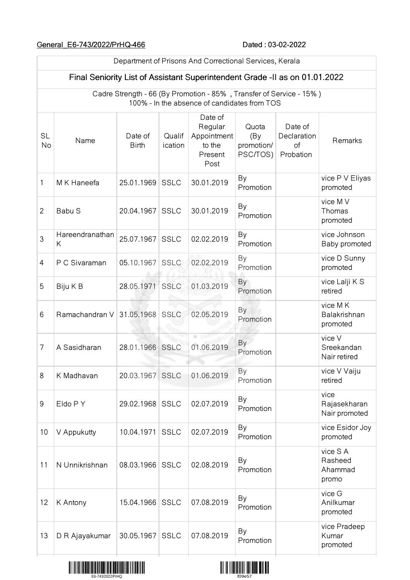## General\_E6-743/2022/PrHQ-466 Dated : 03-02-2022

|                        | Department of Prisons And Correctional Services, Kerala                                                             |                         |                   |                                                                |                                        |                                           |                                        |  |
|------------------------|---------------------------------------------------------------------------------------------------------------------|-------------------------|-------------------|----------------------------------------------------------------|----------------------------------------|-------------------------------------------|----------------------------------------|--|
|                        | Final Seniority List of Assistant Superintendent Grade -II as on 01.01.2022                                         |                         |                   |                                                                |                                        |                                           |                                        |  |
|                        | Cadre Strength - 66 (By Promotion - 85%, Transfer of Service - 15%)<br>100% - In the absence of candidates from TOS |                         |                   |                                                                |                                        |                                           |                                        |  |
| <b>SL</b><br><b>No</b> | Name                                                                                                                | Date of<br><b>Birth</b> | Qualif<br>ication | Date of<br>Regular<br>Appointment<br>to the<br>Present<br>Post | Quota<br>(By<br>promotion/<br>PSC/TOS) | Date of<br>Declaration<br>of<br>Probation | Remarks                                |  |
| 1                      | M K Haneefa                                                                                                         | 25.01.1969              | <b>SSLC</b>       | 30.01.2019                                                     | By<br>Promotion                        |                                           | vice P V Eliyas<br>promoted            |  |
| $\overline{2}$         | Babu S                                                                                                              | 20.04.1967              | <b>SSLC</b>       | 30.01.2019                                                     | By<br>Promotion                        |                                           | vice M V<br>Thomas<br>promoted         |  |
| 3                      | Hareendranathan<br>Κ                                                                                                | 25.07.1967              | <b>SSLC</b>       | 02.02.2019                                                     | By<br>Promotion                        |                                           | vice Johnson<br>Baby promoted          |  |
| 4                      | P C Sivaraman                                                                                                       | 05.10.1967              | <b>SSLC</b>       | 02.02.2019                                                     | By<br>Promotion                        |                                           | vice D Sunny<br>promoted               |  |
| 5                      | Biju K B                                                                                                            | 28.05.1971              | <b>SSLC</b>       | 01.03.2019                                                     | By<br>Promotion                        |                                           | vice Lalji K S<br>retired              |  |
| 6                      | Ramachandran V                                                                                                      | 31.05.1968              | <b>SSLC</b>       | 02.05.2019                                                     | By<br>Promotion                        |                                           | vice MK<br>Balakrishnan<br>promoted    |  |
| 7                      | A Sasidharan                                                                                                        | 28.01.1966              | <b>SSLC</b>       | a.<br>01.06.2019                                               | By<br>Promotion                        |                                           | vice V<br>Sreekandan<br>Nair retired   |  |
| 8                      | K Madhavan                                                                                                          | 20.03.1967              | <b>SSLC</b>       | 01.06.2019                                                     | By<br>Promotion                        |                                           | vice V Vaiju<br>retired                |  |
| 9                      | Eldo P Y                                                                                                            | 29.02.1968              | <b>SSLC</b>       | 02.07.2019                                                     | By<br>Promotion                        |                                           | vice<br>Rajasekharan<br>Nair promoted  |  |
| 10                     | V Appukutty                                                                                                         | 10.04.1971              | <b>SSLC</b>       | 02.07.2019                                                     | By<br>Promotion                        |                                           | vice Esidor Joy<br>promoted            |  |
| 11                     | N Unnikrishnan                                                                                                      | 08.03.1966              | <b>SSLC</b>       | 02.08.2019                                                     | By<br>Promotion                        |                                           | vice SA<br>Rasheed<br>Ahammad<br>promo |  |
| 12                     | K Antony                                                                                                            | 15.04.1966              | <b>SSLC</b>       | 07.08.2019                                                     | By<br>Promotion                        |                                           | vice G<br>Anilkumar<br>promoted        |  |
| 13                     | D R Ajayakumar                                                                                                      | 30.05.1967              | <b>SSLC</b>       | 07.08.2019                                                     | By<br>Promotion                        |                                           | vice Pradeep<br>Kumar<br>promoted      |  |



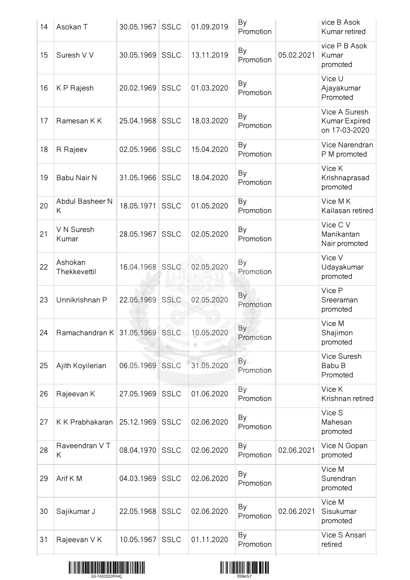| 14 | Asokan T                | 30.05.1967      | <b>SSLC</b> | 01.09.2019 | By<br>Promotion |            | vice B Asok<br>Kumar retired                    |
|----|-------------------------|-----------------|-------------|------------|-----------------|------------|-------------------------------------------------|
| 15 | Suresh V V              | 30.05.1969      | <b>SSLC</b> | 13.11.2019 | By<br>Promotion | 05.02.2021 | vice P B Asok<br>Kumar<br>promoted              |
| 16 | K P Rajesh              | 20.02.1969      | <b>SSLC</b> | 01.03.2020 | By<br>Promotion |            | Vice U<br>Ajayakumar<br>Promoted                |
| 17 | Ramesan K K             | 25.04.1968      | <b>SSLC</b> | 18.03.2020 | By<br>Promotion |            | Vice A Suresh<br>Kumar Expired<br>on 17-03-2020 |
| 18 | R Rajeev                | 02.05.1966      | <b>SSLC</b> | 15.04.2020 | By<br>Promotion |            | Vice Narendran<br>P M promoted                  |
| 19 | Babu Nair N             | 31.05.1966      | <b>SSLC</b> | 18.04.2020 | By<br>Promotion |            | Vice K<br>Krishnaprasad<br>promoted             |
| 20 | Abdul Basheer N<br>Κ    | 18.05.1971      | <b>SSLC</b> | 01.05.2020 | By<br>Promotion |            | Vice MK<br>Kailasan retired                     |
| 21 | V N Suresh<br>Kumar     | 28.05.1967      | <b>SSLC</b> | 02.05.2020 | By<br>Promotion |            | Vice C V<br>Manikantan<br>Nair promoted         |
| 22 | Ashokan<br>Thekkevettil | 16.04.1968 SSLC |             | 02.05.2020 | By<br>Promotion |            | Vice V<br>Udayakumar<br>promoted                |
| 23 | Unnikrishnan P          | 22.05.1969      | <b>SSLC</b> | 02.05.2020 | By<br>Promotion |            | Vice P<br>Sreeraman<br>promoted                 |
| 24 | Ramachandran K          | 31.05.1969 SSLC |             | 10.05.2020 | By<br>Promotion |            | Vice M<br>Shajimon<br>promoted                  |
| 25 | Ajith Koyilerian        | 06.05.1969      | <b>SSLC</b> | 31.05.2020 | By<br>Promotion |            | Vice Suresh<br>Babu B<br>Promoted               |
| 26 | Rajeevan K              | 27.05.1969      | <b>SSLC</b> | 01.06.2020 | By<br>Promotion |            | Vice K<br>Krishnan retired                      |
| 27 | K K Prabhakaran         | 25.12.1969      | <b>SSLC</b> | 02.06.2020 | By<br>Promotion |            | Vice S<br>Mahesan<br>promoted                   |
| 28 | Raveendran VT<br>Κ      | 08.04.1970      | <b>SSLC</b> | 02.06.2020 | By<br>Promotion | 02.06.2021 | Vice N Gopan<br>promoted                        |
| 29 | Arif K M                | 04.03.1969      | <b>SSLC</b> | 02.06.2020 | By<br>Promotion |            | Vice M<br>Surendran<br>promoted                 |
| 30 | Sajikumar J             | 22.05.1968      | <b>SSLC</b> | 02.06.2020 | By<br>Promotion | 02.06.2021 | Vice M<br>Sisukumar<br>promoted                 |
| 31 | Rajeevan V K            | 10.05.1967      | <b>SSLC</b> | 01.11.2020 | By<br>Promotion |            | Vice S Ansari<br>retired                        |
|    |                         |                 |             |            |                 |            |                                                 |



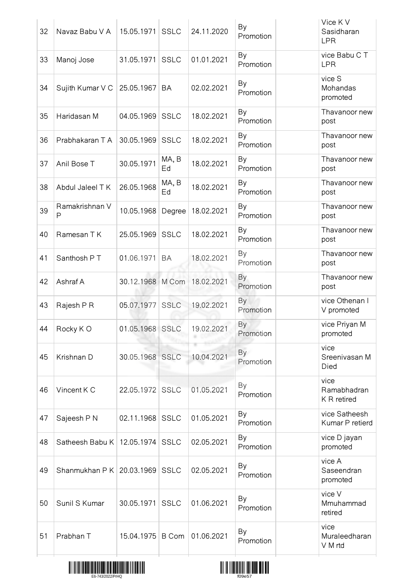| 32 | Navaz Babu V A               | 15.05.1971       | <b>SSLC</b> | 24.11.2020 | By<br>Promotion        | Vice K V<br>Sasidharan<br><b>LPR</b> |
|----|------------------------------|------------------|-------------|------------|------------------------|--------------------------------------|
| 33 | Manoj Jose                   | 31.05.1971       | <b>SSLC</b> | 01.01.2021 | By<br>Promotion        | vice Babu C T<br><b>LPR</b>          |
| 34 | Sujith Kumar V C             | 25.05.1967       | <b>BA</b>   | 02.02.2021 | By<br>Promotion        | vice S<br>Mohandas<br>promoted       |
| 35 | Haridasan M                  | 04.05.1969       | <b>SSLC</b> | 18.02.2021 | By<br>Promotion        | Thavanoor new<br>post                |
| 36 | Prabhakaran T A              | 30.05.1969       | <b>SSLC</b> | 18.02.2021 | By<br>Promotion        | Thavanoor new<br>post                |
| 37 | Anil Bose T                  | 30.05.1971       | MA, B<br>Ed | 18.02.2021 | By<br>Promotion        | Thavanoor new<br>post                |
| 38 | Abdul Jaleel T K             | 26.05.1968       | MA, B<br>Ed | 18.02.2021 | By<br>Promotion        | Thavanoor new<br>post                |
| 39 | Ramakrishnan V<br>Ρ          | 10.05.1968       | Degree      | 18.02.2021 | By<br>Promotion        | Thavanoor new<br>post                |
| 40 | Ramesan T K                  | 25.05.1969       | <b>SSLC</b> | 18.02.2021 | By<br>Promotion        | Thavanoor new<br>post                |
| 41 | Santhosh PT                  | 01.06.1971       | <b>BA</b>   | 18.02.2021 | By<br>Promotion        | Thavanoor new<br>post                |
| 42 | Ashraf A                     | 30.12.1968 M Com |             | 18.02.2021 | <b>By</b><br>Promotion | Thavanoor new<br>post                |
| 43 | Rajesh P R                   | 05.07.1977       | <b>SSLC</b> | 19.02.2021 | By<br>Promotion        | vice Othenan I<br>V promoted         |
| 44 | Rocky KO                     | 01.05.1968 SSLC  |             | 19.02.2021 | By<br>Promotion        | vice Priyan M<br>promoted            |
| 45 | Krishnan D                   | 30.05.1968 SSLC  |             | 10.04.2021 | By<br>Promotion        | vice<br>Sreenivasan M<br>Died        |
| 46 | Vincent K C                  | 22.05.1972 SSLC  |             | 01.05.2021 | By<br>Promotion        | vice<br>Ramabhadran<br>K R retired   |
| 47 | Sajeesh P N                  | 02.11.1968       | <b>SSLC</b> | 01.05.2021 | By<br>Promotion        | vice Satheesh<br>Kumar P retierd     |
| 48 | Satheesh Babu K   12.05.1974 |                  | <b>SSLC</b> | 02.05.2021 | By<br>Promotion        | vice D jayan<br>promoted             |
| 49 | Shanmukhan P K   20.03.1969  |                  | <b>SSLC</b> | 02.05.2021 | By<br>Promotion        | vice A<br>Saseendran<br>promoted     |
| 50 | Sunil S Kumar                | 30.05.1971       | <b>SSLC</b> | 01.06.2021 | By<br>Promotion        | vice V<br>Mmuhammad<br>retired       |
| 51 | Prabhan T                    | 15.04.1975 B Com |             | 01.06.2021 | By<br>Promotion        | vice<br>Muraleedharan<br>V M rtd     |
|    |                              |                  |             |            |                        |                                      |